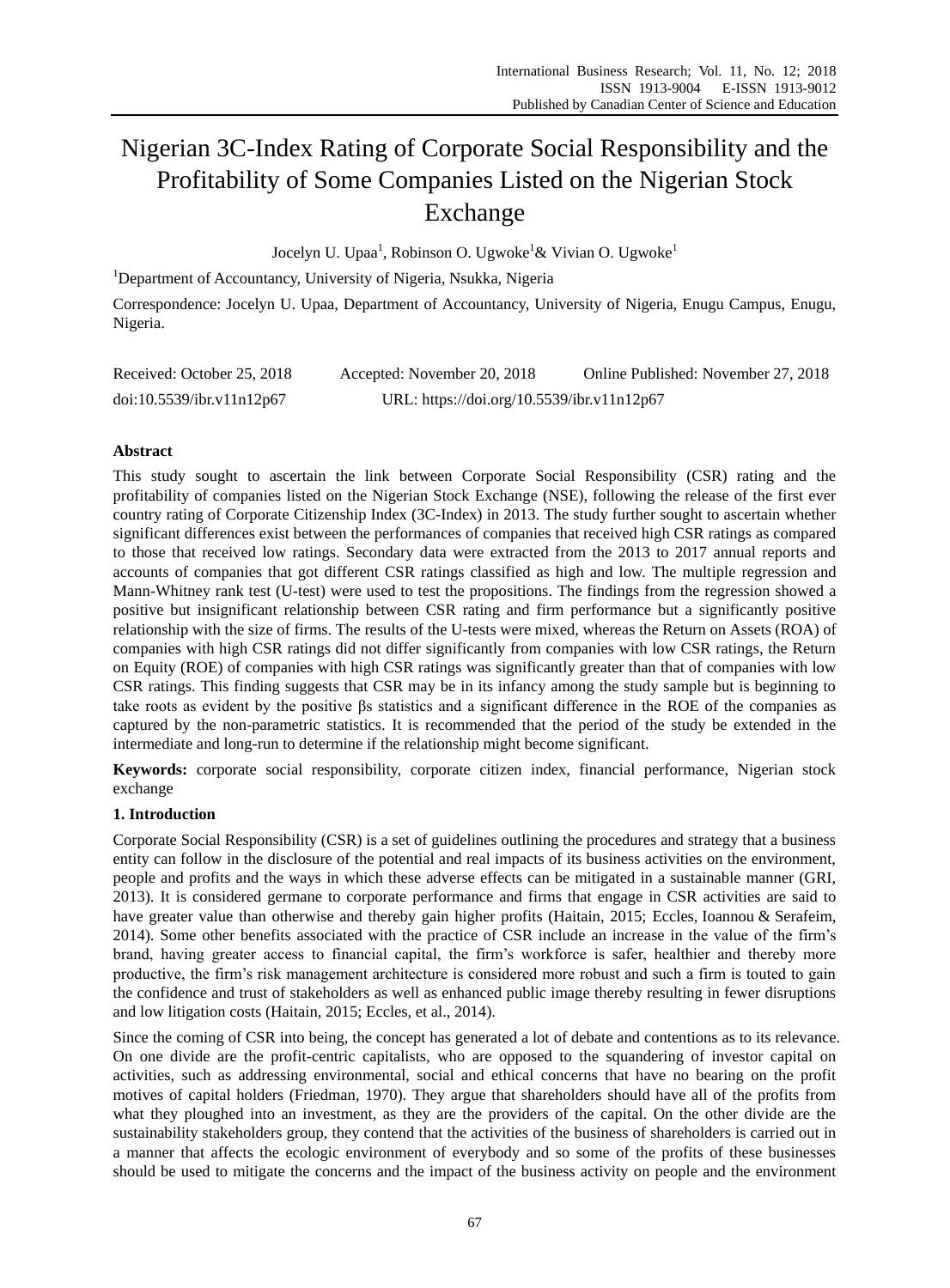# Nigerian 3C-Index Rating of Corporate Social Responsibility and the Profitability of Some Companies Listed on the Nigerian Stock Exchange

Jocelyn U. Upaa<sup>1</sup>, Robinson O. Ugwoke<sup>1</sup>& Vivian O. Ugwoke<sup>1</sup>

<sup>1</sup>Department of Accountancy, University of Nigeria, Nsukka, Nigeria

Correspondence: Jocelyn U. Upaa, Department of Accountancy, University of Nigeria, Enugu Campus, Enugu, Nigeria.

| Received: October 25, 2018 | Accepted: November 20, 2018                | Online Published: November 27, 2018 |
|----------------------------|--------------------------------------------|-------------------------------------|
| doi:10.5539/ibr.v11n12p67  | URL: https://doi.org/10.5539/ibr.v11n12p67 |                                     |

# **Abstract**

This study sought to ascertain the link between Corporate Social Responsibility (CSR) rating and the profitability of companies listed on the Nigerian Stock Exchange (NSE), following the release of the first ever country rating of Corporate Citizenship Index (3C-Index) in 2013. The study further sought to ascertain whether significant differences exist between the performances of companies that received high CSR ratings as compared to those that received low ratings. Secondary data were extracted from the 2013 to 2017 annual reports and accounts of companies that got different CSR ratings classified as high and low. The multiple regression and Mann-Whitney rank test (U-test) were used to test the propositions. The findings from the regression showed a positive but insignificant relationship between CSR rating and firm performance but a significantly positive relationship with the size of firms. The results of the U-tests were mixed, whereas the Return on Assets (ROA) of companies with high CSR ratings did not differ significantly from companies with low CSR ratings, the Return on Equity (ROE) of companies with high CSR ratings was significantly greater than that of companies with low CSR ratings. This finding suggests that CSR may be in its infancy among the study sample but is beginning to take roots as evident by the positive βs statistics and a significant difference in the ROE of the companies as captured by the non-parametric statistics. It is recommended that the period of the study be extended in the intermediate and long-run to determine if the relationship might become significant.

**Keywords:** corporate social responsibility, corporate citizen index, financial performance, Nigerian stock exchange

# **1. Introduction**

Corporate Social Responsibility (CSR) is a set of guidelines outlining the procedures and strategy that a business entity can follow in the disclosure of the potential and real impacts of its business activities on the environment, people and profits and the ways in which these adverse effects can be mitigated in a sustainable manner (GRI, 2013). It is considered germane to corporate performance and firms that engage in CSR activities are said to have greater value than otherwise and thereby gain higher profits (Haitain, 2015; Eccles, Ioannou & Serafeim, 2014). Some other benefits associated with the practice of CSR include an increase in the value of the firm"s brand, having greater access to financial capital, the firm"s workforce is safer, healthier and thereby more productive, the firm"s risk management architecture is considered more robust and such a firm is touted to gain the confidence and trust of stakeholders as well as enhanced public image thereby resulting in fewer disruptions and low litigation costs (Haitain, 2015; Eccles, et al., 2014).

Since the coming of CSR into being, the concept has generated a lot of debate and contentions as to its relevance. On one divide are the profit-centric capitalists, who are opposed to the squandering of investor capital on activities, such as addressing environmental, social and ethical concerns that have no bearing on the profit motives of capital holders (Friedman, 1970). They argue that shareholders should have all of the profits from what they ploughed into an investment, as they are the providers of the capital. On the other divide are the sustainability stakeholders group, they contend that the activities of the business of shareholders is carried out in a manner that affects the ecologic environment of everybody and so some of the profits of these businesses should be used to mitigate the concerns and the impact of the business activity on people and the environment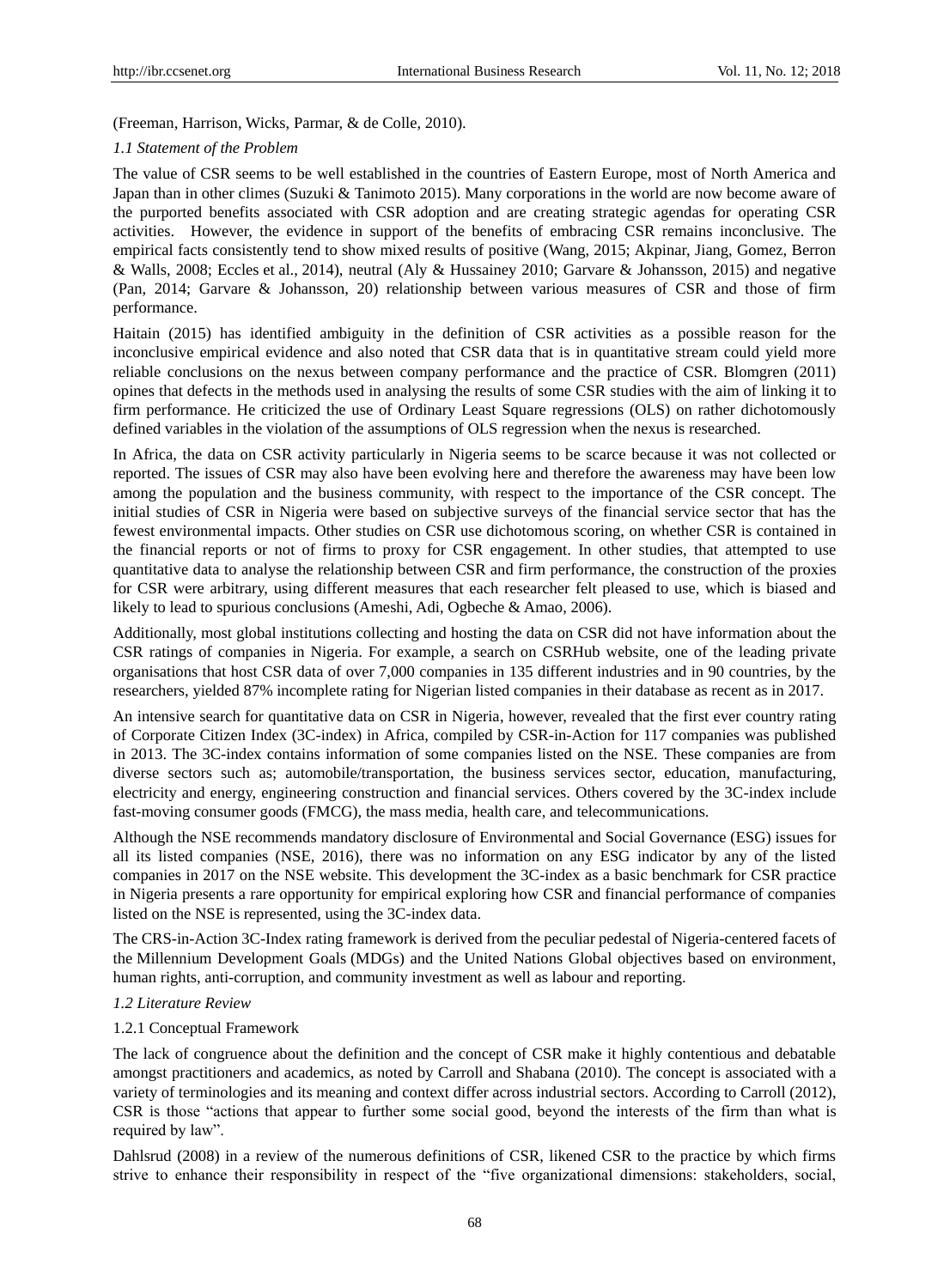(Freeman, Harrison, Wicks, Parmar, & de Colle, 2010).

#### *1.1 Statement of the Problem*

The value of CSR seems to be well established in the countries of Eastern Europe, most of North America and Japan than in other climes (Suzuki & Tanimoto 2015). Many corporations in the world are now become aware of the purported benefits associated with CSR adoption and are creating strategic agendas for operating CSR activities. However, the evidence in support of the benefits of embracing CSR remains inconclusive. The empirical facts consistently tend to show mixed results of positive (Wang, 2015; Akpinar, Jiang, Gomez, Berron & Walls, 2008; Eccles et al., 2014), neutral (Aly & Hussainey 2010; Garvare & Johansson, 2015) and negative (Pan, 2014; Garvare & Johansson, 20) relationship between various measures of CSR and those of firm performance.

Haitain (2015) has identified ambiguity in the definition of CSR activities as a possible reason for the inconclusive empirical evidence and also noted that CSR data that is in quantitative stream could yield more reliable conclusions on the nexus between company performance and the practice of CSR. Blomgren (2011) opines that defects in the methods used in analysing the results of some CSR studies with the aim of linking it to firm performance. He criticized the use of Ordinary Least Square regressions (OLS) on rather dichotomously defined variables in the violation of the assumptions of OLS regression when the nexus is researched.

In Africa, the data on CSR activity particularly in Nigeria seems to be scarce because it was not collected or reported. The issues of CSR may also have been evolving here and therefore the awareness may have been low among the population and the business community, with respect to the importance of the CSR concept. The initial studies of CSR in Nigeria were based on subjective surveys of the financial service sector that has the fewest environmental impacts. Other studies on CSR use dichotomous scoring, on whether CSR is contained in the financial reports or not of firms to proxy for CSR engagement. In other studies, that attempted to use quantitative data to analyse the relationship between CSR and firm performance, the construction of the proxies for CSR were arbitrary, using different measures that each researcher felt pleased to use, which is biased and likely to lead to spurious conclusions (Ameshi, Adi, Ogbeche & Amao, 2006).

Additionally, most global institutions collecting and hosting the data on CSR did not have information about the CSR ratings of companies in Nigeria. For example, a search on CSRHub website, one of the leading private organisations that host CSR data of over 7,000 companies in 135 different industries and in 90 countries, by the researchers, yielded 87% incomplete rating for Nigerian listed companies in their database as recent as in 2017.

An intensive search for quantitative data on CSR in Nigeria, however, revealed that the first ever country rating of Corporate Citizen Index (3C-index) in Africa, compiled by CSR-in-Action for 117 companies was published in 2013. The 3C-index contains information of some companies listed on the NSE. These companies are from diverse sectors such as; automobile/transportation, the business services sector, education, manufacturing, electricity and energy, engineering construction and financial services. Others covered by the 3C-index include fast-moving consumer goods (FMCG), the mass media, health care, and telecommunications.

Although the NSE recommends mandatory disclosure of Environmental and Social Governance (ESG) issues for all its listed companies (NSE, 2016), there was no information on any ESG indicator by any of the listed companies in 2017 on the NSE website. This development the 3C-index as a basic benchmark for CSR practice in Nigeria presents a rare opportunity for empirical exploring how CSR and financial performance of companies listed on the NSE is represented, using the 3C-index data.

The CRS-in-Action 3C-Index rating framework is derived from the peculiar pedestal of Nigeria-centered facets of the Millennium Development Goals (MDGs) and the United Nations Global objectives based on environment, human rights, anti-corruption, and community investment as well as labour and reporting.

#### *1.2 Literature Review*

#### 1.2.1 Conceptual Framework

The lack of congruence about the definition and the concept of CSR make it highly contentious and debatable amongst practitioners and academics, as noted by Carroll and Shabana (2010). The concept is associated with a variety of terminologies and its meaning and context differ across industrial sectors. According to Carroll (2012), CSR is those "actions that appear to further some social good, beyond the interests of the firm than what is required by law".

Dahlsrud (2008) in a review of the numerous definitions of CSR, likened CSR to the practice by which firms strive to enhance their responsibility in respect of the "five organizational dimensions: stakeholders, social,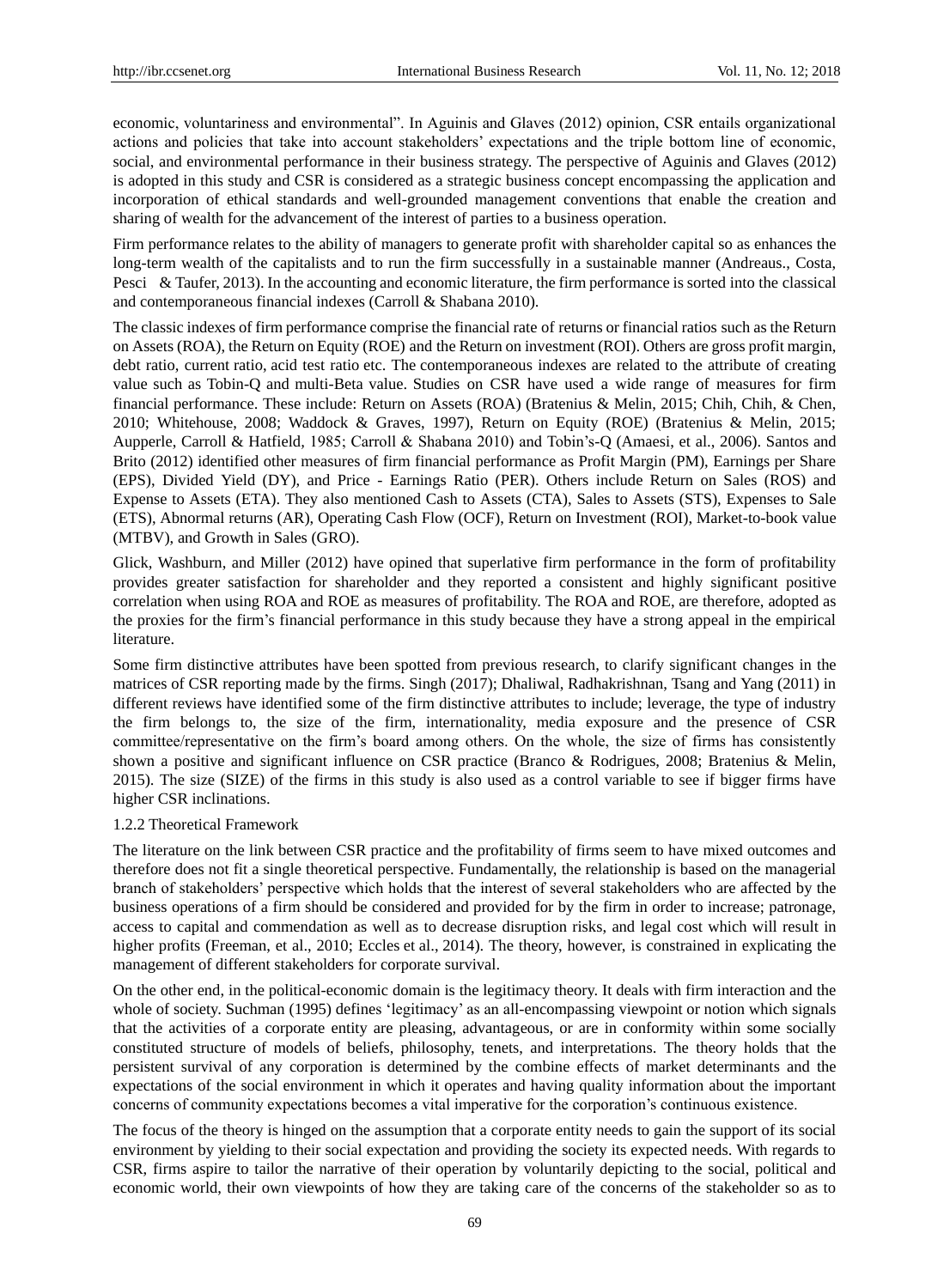economic, voluntariness and environmental". In Aguinis and Glaves (2012) opinion, CSR entails organizational actions and policies that take into account stakeholders" expectations and the triple bottom line of economic, social, and environmental performance in their business strategy. The perspective of Aguinis and Glaves (2012) is adopted in this study and CSR is considered as a strategic business concept encompassing the application and incorporation of ethical standards and well-grounded management conventions that enable the creation and sharing of wealth for the advancement of the interest of parties to a business operation.

Firm performance relates to the ability of managers to generate profit with shareholder capital so as enhances the long-term wealth of the capitalists and to run the firm successfully in a sustainable manner (Andreaus., Costa, Pesci & Taufer, 2013). In the accounting and economic literature, the firm performance is sorted into the classical and contemporaneous financial indexes (Carroll & Shabana 2010).

The classic indexes of firm performance comprise the financial rate of returns or financial ratios such as the Return on Assets (ROA), the Return on Equity (ROE) and the Return on investment (ROI). Others are gross profit margin, debt ratio, current ratio, acid test ratio etc. The contemporaneous indexes are related to the attribute of creating value such as Tobin-Q and multi-Beta value. Studies on CSR have used a wide range of measures for firm financial performance. These include: Return on Assets (ROA) (Bratenius & Melin, 2015; Chih, Chih, & Chen, 2010; Whitehouse, 2008; Waddock & Graves, 1997), Return on Equity (ROE) (Bratenius & Melin, 2015; Aupperle, Carroll & Hatfield*,* 1985; Carroll & Shabana 2010) and Tobin"s-Q (Amaesi, et al., 2006). Santos and Brito (2012) identified other measures of firm financial performance as Profit Margin (PM), Earnings per Share (EPS), Divided Yield (DY), and Price - Earnings Ratio (PER). Others include Return on Sales (ROS) and Expense to Assets (ETA). They also mentioned Cash to Assets (CTA), Sales to Assets (STS), Expenses to Sale (ETS), Abnormal returns (AR), Operating Cash Flow (OCF), Return on Investment (ROI), Market-to-book value (MTBV), and Growth in Sales (GRO).

Glick, Washburn, and Miller (2012) have opined that superlative firm performance in the form of profitability provides greater satisfaction for shareholder and they reported a consistent and highly significant positive correlation when using ROA and ROE as measures of profitability. The ROA and ROE, are therefore, adopted as the proxies for the firm"s financial performance in this study because they have a strong appeal in the empirical literature.

Some firm distinctive attributes have been spotted from previous research, to clarify significant changes in the matrices of CSR reporting made by the firms. Singh (2017); Dhaliwal, Radhakrishnan, Tsang and Yang (2011) in different reviews have identified some of the firm distinctive attributes to include; leverage, the type of industry the firm belongs to, the size of the firm, internationality, media exposure and the presence of CSR committee/representative on the firm"s board among others. On the whole, the size of firms has consistently shown a positive and significant influence on CSR practice (Branco & Rodrigues, 2008; Bratenius & Melin, 2015). The size (SIZE) of the firms in this study is also used as a control variable to see if bigger firms have higher CSR inclinations.

#### 1.2.2 Theoretical Framework

The literature on the link between CSR practice and the profitability of firms seem to have mixed outcomes and therefore does not fit a single theoretical perspective. Fundamentally, the relationship is based on the managerial branch of stakeholders" perspective which holds that the interest of several stakeholders who are affected by the business operations of a firm should be considered and provided for by the firm in order to increase; patronage, access to capital and commendation as well as to decrease disruption risks, and legal cost which will result in higher profits (Freeman, et al., 2010; Eccles et al., 2014). The theory, however, is constrained in explicating the management of different stakeholders for corporate survival.

On the other end, in the political-economic domain is the legitimacy theory. It deals with firm interaction and the whole of society. Suchman (1995) defines 'legitimacy' as an all-encompassing viewpoint or notion which signals that the activities of a corporate entity are pleasing, advantageous, or are in conformity within some socially constituted structure of models of beliefs, philosophy, tenets, and interpretations. The theory holds that the persistent survival of any corporation is determined by the combine effects of market determinants and the expectations of the social environment in which it operates and having quality information about the important concerns of community expectations becomes a vital imperative for the corporation"s continuous existence.

The focus of the theory is hinged on the assumption that a corporate entity needs to gain the support of its social environment by yielding to their social expectation and providing the society its expected needs. With regards to CSR, firms aspire to tailor the narrative of their operation by voluntarily depicting to the social, political and economic world, their own viewpoints of how they are taking care of the concerns of the stakeholder so as to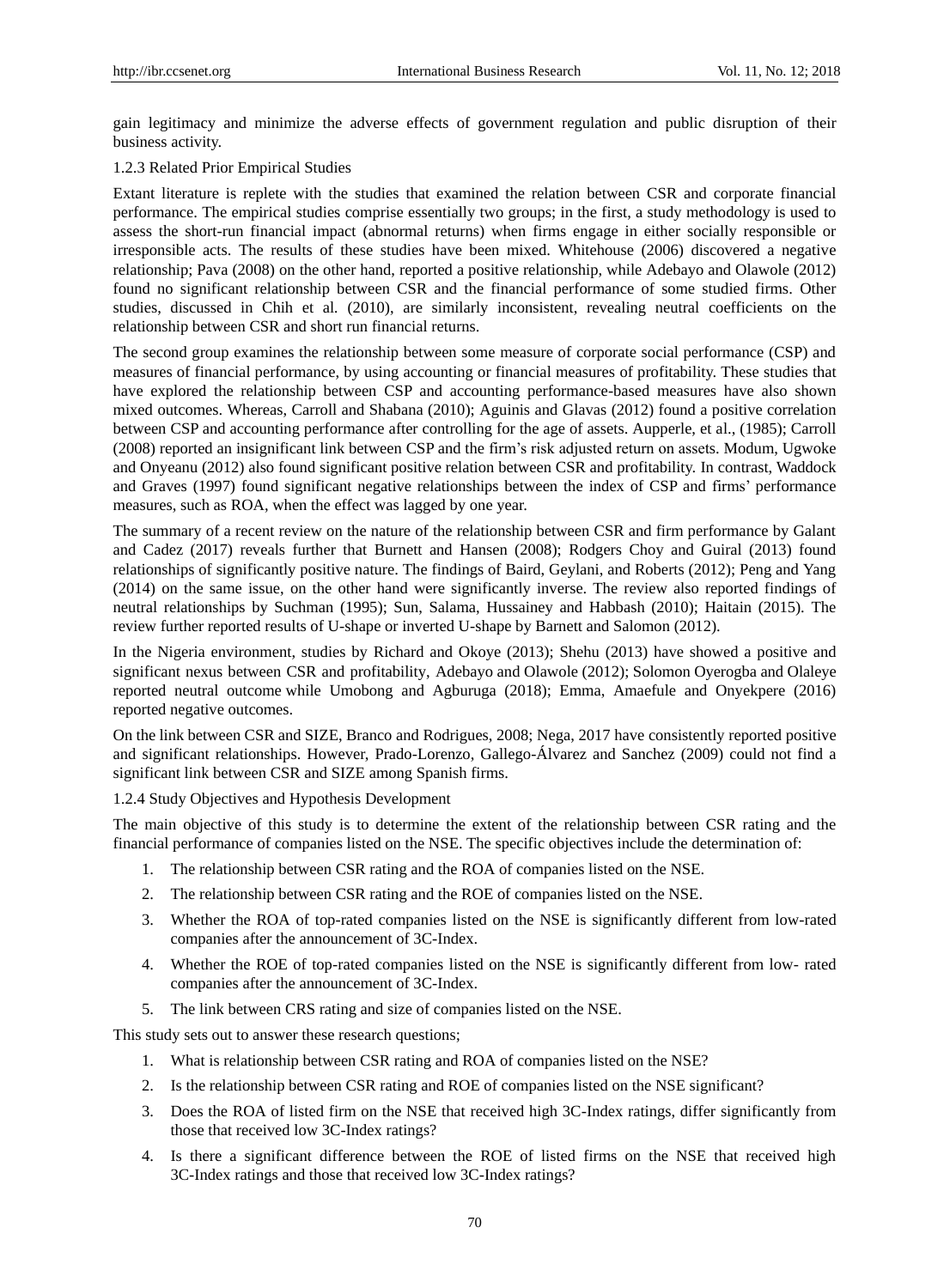gain legitimacy and minimize the adverse effects of government regulation and public disruption of their business activity.

#### 1.2.3 Related Prior Empirical Studies

Extant literature is replete with the studies that examined the relation between CSR and corporate financial performance. The empirical studies comprise essentially two groups; in the first, a study methodology is used to assess the short-run financial impact (abnormal returns) when firms engage in either socially responsible or irresponsible acts. The results of these studies have been mixed. Whitehouse (2006) discovered a negative relationship; Pava (2008) on the other hand, reported a positive relationship, while Adebayo and Olawole (2012) found no significant relationship between CSR and the financial performance of some studied firms. Other studies, discussed in Chih et al*.* (2010), are similarly inconsistent, revealing neutral coefficients on the relationship between CSR and short run financial returns.

The second group examines the relationship between some measure of corporate social performance (CSP) and measures of financial performance, by using accounting or financial measures of profitability. These studies that have explored the relationship between CSP and accounting performance-based measures have also shown mixed outcomes. Whereas, Carroll and Shabana (2010); Aguinis and Glavas (2012) found a positive correlation between CSP and accounting performance after controlling for the age of assets. Aupperle, et al., (1985); Carroll (2008) reported an insignificant link between CSP and the firm"s risk adjusted return on assets. Modum, Ugwoke and Onyeanu (2012) also found significant positive relation between CSR and profitability. In contrast, Waddock and Graves (1997) found significant negative relationships between the index of CSP and firms" performance measures, such as ROA, when the effect was lagged by one year.

The summary of a recent review on the nature of the relationship between CSR and firm performance by Galant and Cadez (2017) reveals further that Burnett and Hansen (2008); Rodgers Choy and Guiral (2013) found relationships of significantly positive nature. The findings of Baird, Geylani, and Roberts (2012); Peng and Yang (2014) on the same issue, on the other hand were significantly inverse. The review also reported findings of neutral relationships by Suchman (1995); Sun, Salama, Hussainey and Habbash (2010); Haitain (2015). The review further reported results of U-shape or inverted U-shape by Barnett and Salomon (2012).

In the Nigeria environment, studies by Richard and Okoye (2013); Shehu (2013) have showed a positive and significant nexus between CSR and profitability, Adebayo and Olawole (2012); Solomon Oyerogba and Olaleye reported neutral outcome while Umobong and Agburuga (2018); Emma, Amaefule and Onyekpere (2016) reported negative outcomes.

On the link between CSR and SIZE, Branco and Rodrigues, 2008; Nega, 2017 have consistently reported positive and significant relationships. However, Prado-Lorenzo, Gallego-Álvarez and Sanchez (2009) could not find a significant link between CSR and SIZE among Spanish firms.

1.2.4 Study Objectives and Hypothesis Development

The main objective of this study is to determine the extent of the relationship between CSR rating and the financial performance of companies listed on the NSE. The specific objectives include the determination of:

- 1. The relationship between CSR rating and the ROA of companies listed on the NSE.
- 2. The relationship between CSR rating and the ROE of companies listed on the NSE.
- 3. Whether the ROA of top-rated companies listed on the NSE is significantly different from low-rated companies after the announcement of 3C-Index.
- 4. Whether the ROE of top-rated companies listed on the NSE is significantly different from low- rated companies after the announcement of 3C-Index.
- 5. The link between CRS rating and size of companies listed on the NSE.

This study sets out to answer these research questions;

- 1. What is relationship between CSR rating and ROA of companies listed on the NSE?
- 2. Is the relationship between CSR rating and ROE of companies listed on the NSE significant?
- 3. Does the ROA of listed firm on the NSE that received high 3C-Index ratings, differ significantly from those that received low 3C-Index ratings?
- 4. Is there a significant difference between the ROE of listed firms on the NSE that received high 3C-Index ratings and those that received low 3C-Index ratings?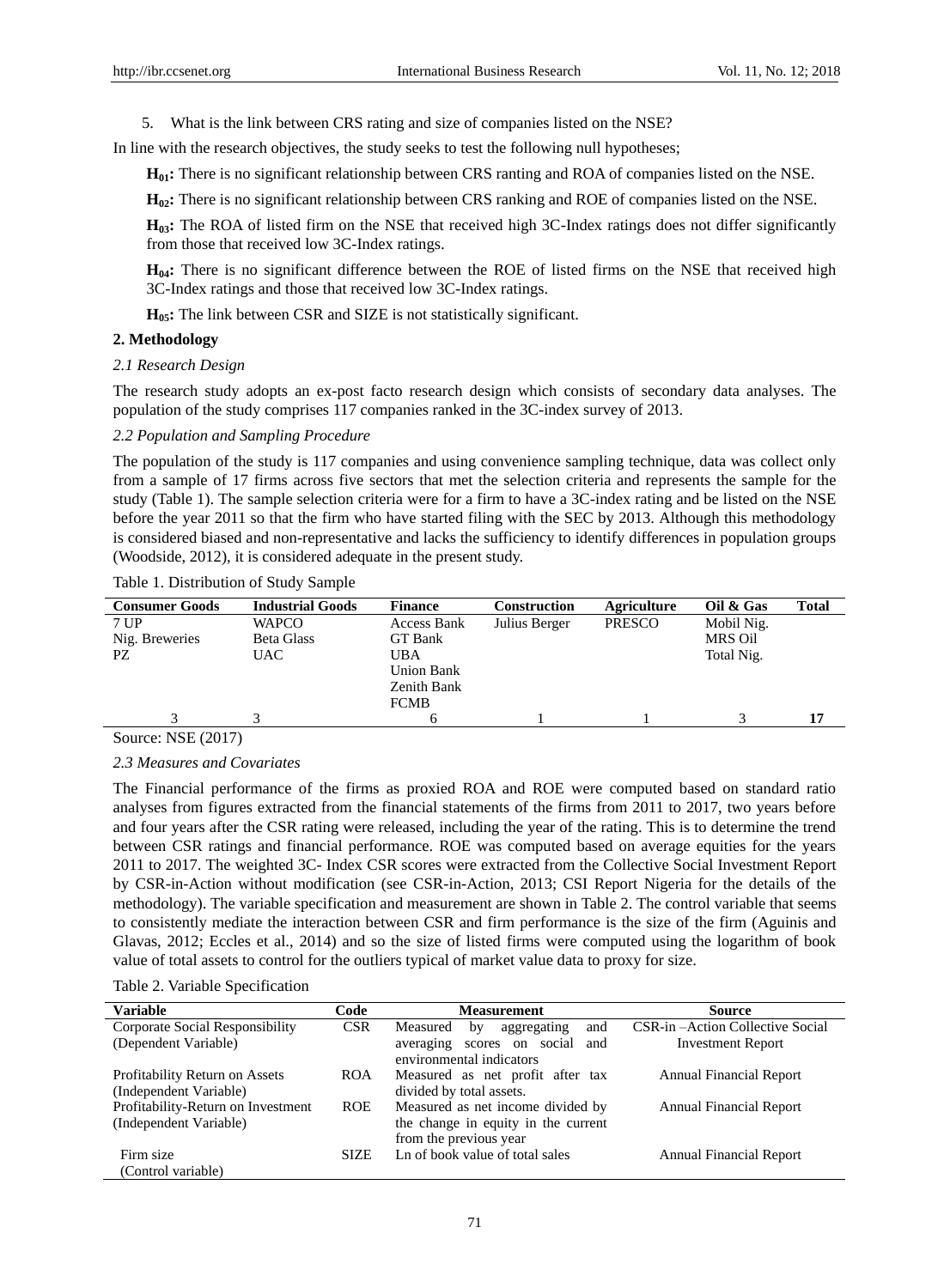5. What is the link between CRS rating and size of companies listed on the NSE?

In line with the research objectives, the study seeks to test the following null hypotheses;

**H01:** There is no significant relationship between CRS ranting and ROA of companies listed on the NSE.

**H<sub>0</sub>2:** There is no significant relationship between CRS ranking and ROE of companies listed on the NSE.

**H03:** The ROA of listed firm on the NSE that received high 3C-Index ratings does not differ significantly from those that received low 3C-Index ratings.

**H04:** There is no significant difference between the ROE of listed firms on the NSE that received high 3C-Index ratings and those that received low 3C-Index ratings.

**H05:** The link between CSR and SIZE is not statistically significant.

### **2. Methodology**

#### *2.1 Research Design*

The research study adopts an ex-post facto research design which consists of secondary data analyses. The population of the study comprises 117 companies ranked in the 3C-index survey of 2013.

#### *2.2 Population and Sampling Procedure*

The population of the study is 117 companies and using convenience sampling technique, data was collect only from a sample of 17 firms across five sectors that met the selection criteria and represents the sample for the study (Table 1). The sample selection criteria were for a firm to have a 3C-index rating and be listed on the NSE before the year 2011 so that the firm who have started filing with the SEC by 2013. Although this methodology is considered biased and non-representative and lacks the sufficiency to identify differences in population groups (Woodside, 2012), it is considered adequate in the present study.

Table 1. Distribution of Study Sample

| <b>Consumer Goods</b> | <b>Industrial Goods</b> | <b>Finance</b>    | <b>Construction</b> | Agriculture   | Oil & Gas  | <b>Total</b> |
|-----------------------|-------------------------|-------------------|---------------------|---------------|------------|--------------|
| 7 UP                  | <b>WAPCO</b>            | Access Bank       | Julius Berger       | <b>PRESCO</b> | Mobil Nig. |              |
| Nig. Breweries        | <b>Beta Glass</b>       | GT Bank           |                     |               | MRS Oil    |              |
| PZ                    | UAC.                    | UBA               |                     |               | Total Nig. |              |
|                       |                         | <b>Union Bank</b> |                     |               |            |              |
|                       |                         | Zenith Bank       |                     |               |            |              |
|                       |                         | <b>FCMB</b>       |                     |               |            |              |
|                       |                         |                   |                     |               |            | 17           |
| $\sim$                |                         |                   |                     |               |            |              |

Source: NSE (2017)

#### *2.3 Measures and Covariates*

The Financial performance of the firms as proxied ROA and ROE were computed based on standard ratio analyses from figures extracted from the financial statements of the firms from 2011 to 2017, two years before and four years after the CSR rating were released, including the year of the rating. This is to determine the trend between CSR ratings and financial performance. ROE was computed based on average equities for the years 2011 to 2017. The weighted 3C- Index CSR scores were extracted from the Collective Social Investment Report by CSR-in-Action without modification (see CSR-in-Action, 2013; CSI Report Nigeria for the details of the methodology). The variable specification and measurement are shown in Table 2. The control variable that seems to consistently mediate the interaction between CSR and firm performance is the size of the firm (Aguinis and Glavas, 2012; Eccles et al., 2014) and so the size of listed firms were computed using the logarithm of book value of total assets to control for the outliers typical of market value data to proxy for size.

Table 2. Variable Specification

| <b>Variable</b>                    | Code        | <b>Measurement</b>                   | Source                          |
|------------------------------------|-------------|--------------------------------------|---------------------------------|
| Corporate Social Responsibility    | <b>CSR</b>  | Measured<br>aggregating<br>and<br>by | CSR-in-Action Collective Social |
| (Dependent Variable)               |             | averaging scores on social<br>and    | <b>Investment Report</b>        |
|                                    |             | environmental indicators             |                                 |
| Profitability Return on Assets     | <b>ROA</b>  | Measured as net profit after tax     | <b>Annual Financial Report</b>  |
| (Independent Variable)             |             | divided by total assets.             |                                 |
| Profitability-Return on Investment | <b>ROE</b>  | Measured as net income divided by    | <b>Annual Financial Report</b>  |
| (Independent Variable)             |             | the change in equity in the current  |                                 |
|                                    |             | from the previous year               |                                 |
| Firm size                          | <b>SIZE</b> | Ln of book value of total sales      | <b>Annual Financial Report</b>  |
| (Control variable)                 |             |                                      |                                 |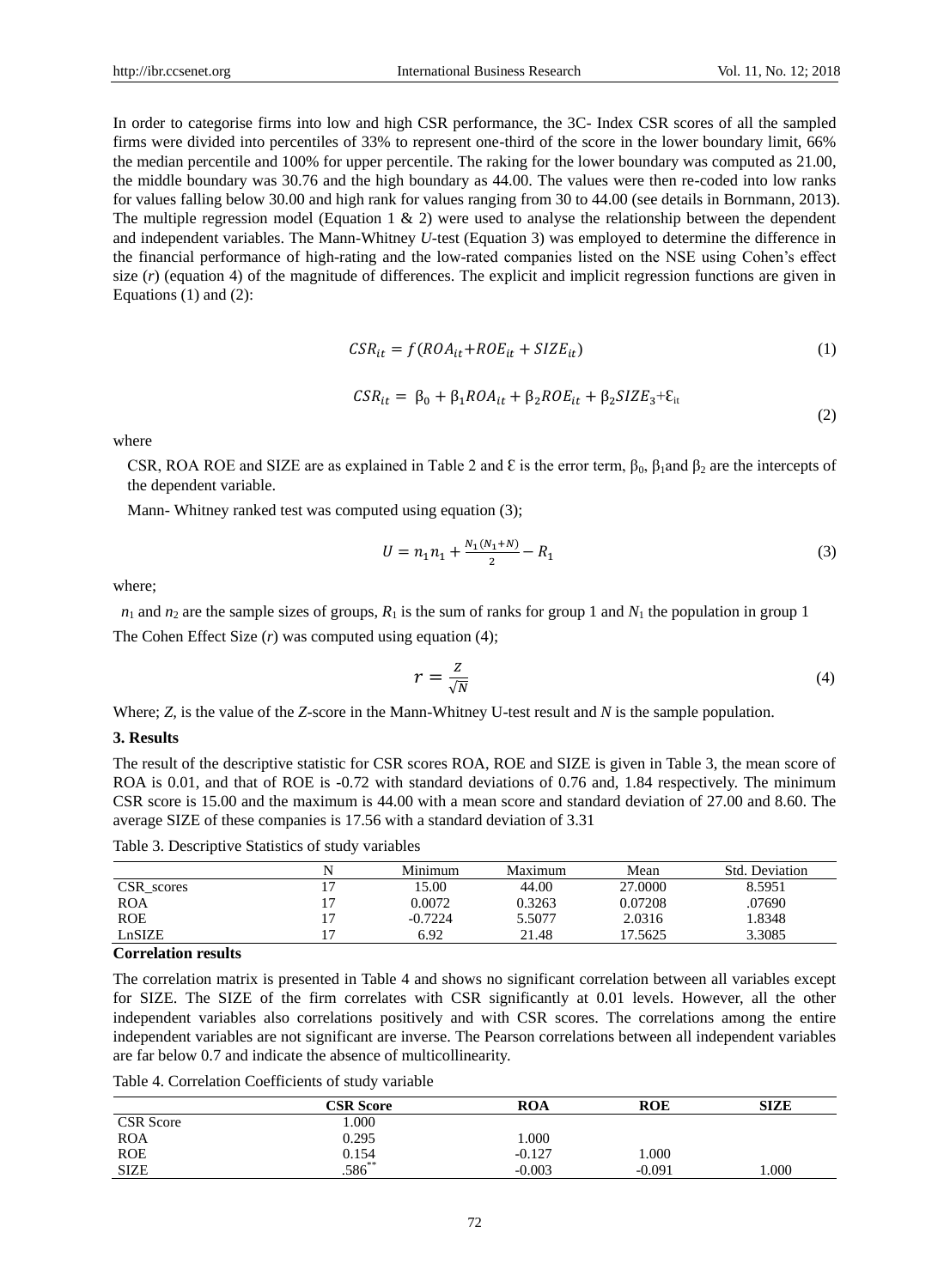(2)

In order to categorise firms into low and high CSR performance, the 3C- Index CSR scores of all the sampled firms were divided into percentiles of 33% to represent one-third of the score in the lower boundary limit, 66% the median percentile and 100% for upper percentile. The raking for the lower boundary was computed as 21.00, the middle boundary was 30.76 and the high boundary as 44.00. The values were then re-coded into low ranks for values falling below 30.00 and high rank for values ranging from 30 to 44.00 (see details in Bornmann, 2013). The multiple regression model (Equation 1  $\&$  2) were used to analyse the relationship between the dependent and independent variables. The Mann-Whitney *U*-test (Equation 3) was employed to determine the difference in the financial performance of high-rating and the low-rated companies listed on the NSE using Cohen"s effect size  $(r)$  (equation 4) of the magnitude of differences. The explicit and implicit regression functions are given in Equations (1) and (2):

$$
CSR_{it}=f(ROA_{it}+ROE_{it}+SIZE_{it})
$$
\n(1)

$$
CSR_{it} = \beta_0 + \beta_1 ROA_{it} + \beta_2 ROE_{it} + \beta_2 SIZE_3 + \varepsilon_{it}
$$

where

CSR, ROA ROE and SIZE are as explained in Table 2 and  $\epsilon$  is the error term,  $\beta_0$ ,  $\beta_1$ and  $\beta_2$  are the intercepts of the dependent variable.

Mann- Whitney ranked test was computed using equation (3);

$$
U = n_1 n_1 + \frac{N_1 (N_1 + N)}{2} - R_1 \tag{3}
$$

where;

 $n_1$  and  $n_2$  are the sample sizes of groups,  $R_1$  is the sum of ranks for group 1 and  $N_1$  the population in group 1

The Cohen Effect Size (*r*) was computed using equation (4);

$$
r = \frac{z}{\sqrt{N}}\tag{4}
$$

Where; *Z,* is the value of the *Z*-score in the Mann-Whitney U-test result and *N* is the sample population.

#### **3. Results**

The result of the descriptive statistic for CSR scores ROA, ROE and SIZE is given in Table 3, the mean score of ROA is 0.01, and that of ROE is -0.72 with standard deviations of 0.76 and, 1.84 respectively. The minimum CSR score is 15.00 and the maximum is 44.00 with a mean score and standard deviation of 27.00 and 8.60. The average SIZE of these companies is 17.56 with a standard deviation of 3.31

Table 3. Descriptive Statistics of study variables

|            |    | Minimum | Maximum | Mean    | Std. Deviation |
|------------|----|---------|---------|---------|----------------|
| CSR scores |    | 15.00   | 44.00   | 27,0000 | 8.5951         |
| <b>ROA</b> | Ξ, | 0.0072  | 0.3263  | 0.07208 | .07690         |
| <b>ROE</b> |    | -0.7224 | 5.5077  | 2.0316  | 1.8348         |
| LnSIZE     | Ξ. | 6.92    | 21.48   | 17.5625 | 3.3085         |

#### **Correlation results**

The correlation matrix is presented in Table 4 and shows no significant correlation between all variables except for SIZE. The SIZE of the firm correlates with CSR significantly at 0.01 levels. However, all the other independent variables also correlations positively and with CSR scores. The correlations among the entire independent variables are not significant are inverse. The Pearson correlations between all independent variables are far below 0.7 and indicate the absence of multicollinearity.

Table 4. Correlation Coefficients of study variable

|                  | <b>CSR Score</b>       | <b>ROA</b> | <b>ROE</b> | <b>SIZE</b> |
|------------------|------------------------|------------|------------|-------------|
| <b>CSR</b> Score | 000.1                  |            |            |             |
| <b>ROA</b>       | 0.295                  | 000.1      |            |             |
| <b>ROE</b>       |                        | $-0.127$   | $000$ .    |             |
| <b>SIZE</b>      | $0.154$<br>$.586^{**}$ | $-0.003$   | $-0.091$   | $.000$ .    |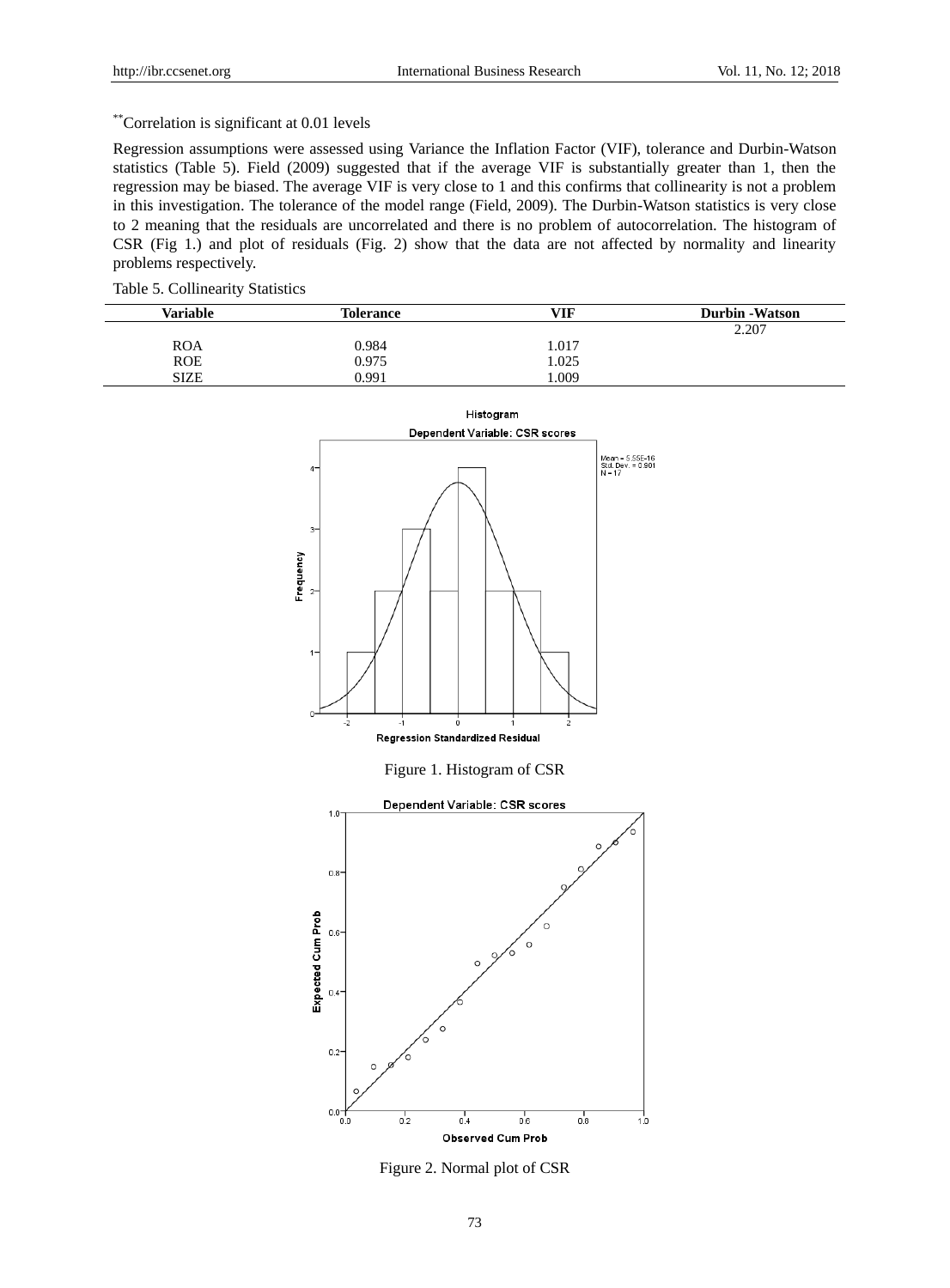# \*\*Correlation is significant at 0.01 levels

Regression assumptions were assessed using Variance the Inflation Factor (VIF), tolerance and Durbin-Watson statistics (Table 5). Field (2009) suggested that if the average VIF is substantially greater than 1, then the regression may be biased. The average VIF is very close to 1 and this confirms that collinearity is not a problem in this investigation. The tolerance of the model range (Field, 2009). The Durbin-Watson statistics is very close to 2 meaning that the residuals are uncorrelated and there is no problem of autocorrelation. The histogram of CSR (Fig 1.) and plot of residuals (Fig. 2) show that the data are not affected by normality and linearity problems respectively.

# Table 5. Collinearity Statistics

| <b>Variable</b> | <b>Tolerance</b> | VIF  | <b>Durbin</b> - Watson |
|-----------------|------------------|------|------------------------|
|                 |                  |      | 2.207                  |
| <b>ROA</b>      | 0.984            | .017 |                        |
| <b>ROE</b>      | 0.975            | .025 |                        |
| <b>SIZE</b>     | 0.991            | .009 |                        |



Figure 2. Normal plot of CSR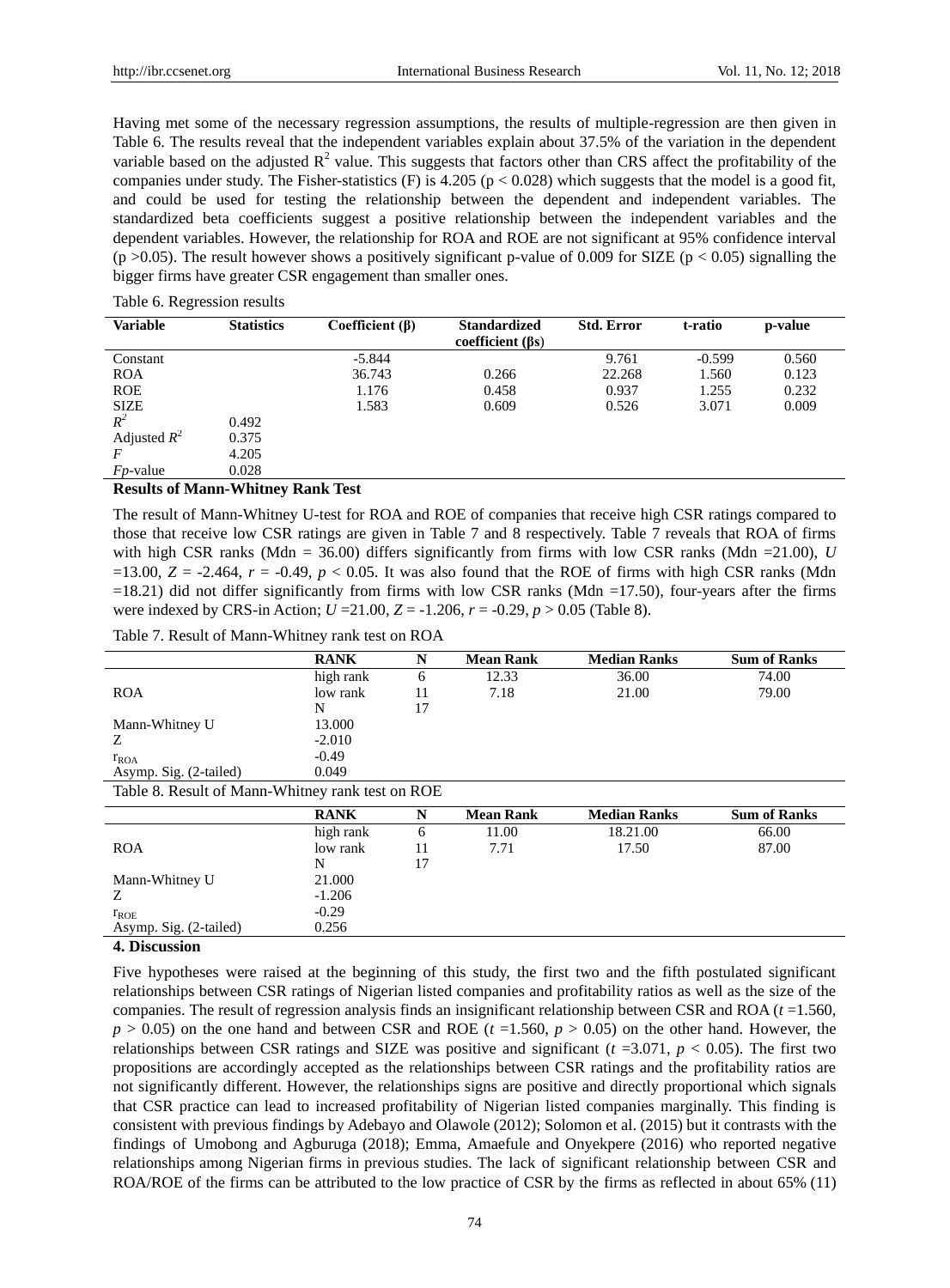Having met some of the necessary regression assumptions, the results of multiple-regression are then given in Table 6. The results reveal that the independent variables explain about 37.5% of the variation in the dependent variable based on the adjusted  $R^2$  value. This suggests that factors other than CRS affect the profitability of the companies under study. The Fisher-statistics  $(F)$  is 4.205 (p < 0.028) which suggests that the model is a good fit, and could be used for testing the relationship between the dependent and independent variables. The standardized beta coefficients suggest a positive relationship between the independent variables and the dependent variables. However, the relationship for ROA and ROE are not significant at 95% confidence interval (p >0.05). The result however shows a positively significant p-value of 0.009 for SIZE (p < 0.05) signalling the bigger firms have greater CSR engagement than smaller ones.

| <b>Variable</b>  | <b>Statistics</b> | Coefficient $(\beta)$ | <b>Standardized</b><br>coefficient $(\beta s)$ | <b>Std. Error</b> | t-ratio  | p-value |
|------------------|-------------------|-----------------------|------------------------------------------------|-------------------|----------|---------|
| Constant         |                   | $-5.844$              |                                                | 9.761             | $-0.599$ | 0.560   |
| <b>ROA</b>       |                   | 36.743                | 0.266                                          | 22.268            | 1.560    | 0.123   |
| <b>ROE</b>       |                   | 1.176                 | 0.458                                          | 0.937             | 1.255    | 0.232   |
| <b>SIZE</b>      |                   | 1.583                 | 0.609                                          | 0.526             | 3.071    | 0.009   |
| $R^2$            | 0.492             |                       |                                                |                   |          |         |
| Adjusted $R^2$   | 0.375             |                       |                                                |                   |          |         |
|                  | 4.205             |                       |                                                |                   |          |         |
| <i>Fp</i> -value | 0.028             |                       |                                                |                   |          |         |

#### Table 6. Regression results

#### **Results of Mann-Whitney Rank Test**

The result of Mann-Whitney U-test for ROA and ROE of companies that receive high CSR ratings compared to those that receive low CSR ratings are given in Table 7 and 8 respectively. Table 7 reveals that ROA of firms with high CSR ranks (Mdn = 36.00) differs significantly from firms with low CSR ranks (Mdn = 21.00), *U* =13.00,  $Z = -2.464$ ,  $r = -0.49$ ,  $p < 0.05$ . It was also found that the ROE of firms with high CSR ranks (Mdn  $=18.21$ ) did not differ significantly from firms with low CSR ranks (Mdn  $=17.50$ ), four-years after the firms were indexed by CRS-in Action;  $U = 21.00$ ,  $Z = -1.206$ ,  $r = -0.29$ ,  $p > 0.05$  (Table 8).

Table 7. Result of Mann-Whitney rank test on ROA

|                                                  | <b>RANK</b> |    | <b>Mean Rank</b> | <b>Median Ranks</b> | <b>Sum of Ranks</b> |
|--------------------------------------------------|-------------|----|------------------|---------------------|---------------------|
|                                                  | high rank   | 6  | 12.33            | 36.00               | 74.00               |
| <b>ROA</b>                                       | low rank    |    | 7.18             | 21.00               | 79.00               |
|                                                  | N           | 17 |                  |                     |                     |
| Mann-Whitney U                                   | 13.000      |    |                  |                     |                     |
| Ζ                                                | $-2.010$    |    |                  |                     |                     |
| $r_{ROA}$                                        | $-0.49$     |    |                  |                     |                     |
| Asymp. Sig. (2-tailed)                           | 0.049       |    |                  |                     |                     |
| Table 8. Result of Mann-Whitney rank test on ROE |             |    |                  |                     |                     |

|                        | <b>RANK</b> | N  | <b>Mean Rank</b> | <b>Median Ranks</b> | <b>Sum of Ranks</b> |
|------------------------|-------------|----|------------------|---------------------|---------------------|
|                        | high rank   | 6  | 11.00            | 18.21.00            | 66.00               |
| <b>ROA</b>             | low rank    | 11 | 7.71             | 17.50               | 87.00               |
|                        | N           | 17 |                  |                     |                     |
| Mann-Whitney U         | 21.000      |    |                  |                     |                     |
| Ζ                      | $-1.206$    |    |                  |                     |                     |
| $r_{ROE}$              | $-0.29$     |    |                  |                     |                     |
| Asymp. Sig. (2-tailed) | 0.256       |    |                  |                     |                     |

#### **4. Discussion**

Five hypotheses were raised at the beginning of this study, the first two and the fifth postulated significant relationships between CSR ratings of Nigerian listed companies and profitability ratios as well as the size of the companies. The result of regression analysis finds an insignificant relationship between CSR and ROA (*t* =1.560,  $p > 0.05$ ) on the one hand and between CSR and ROE ( $t = 1.560$ ,  $p > 0.05$ ) on the other hand. However, the relationships between CSR ratings and SIZE was positive and significant  $(t = 3.071, p < 0.05)$ . The first two propositions are accordingly accepted as the relationships between CSR ratings and the profitability ratios are not significantly different. However, the relationships signs are positive and directly proportional which signals that CSR practice can lead to increased profitability of Nigerian listed companies marginally. This finding is consistent with previous findings by Adebayo and Olawole (2012); Solomon et al. (2015) but it contrasts with the findings of Umobong and Agburuga (2018); Emma, Amaefule and Onyekpere (2016) who reported negative relationships among Nigerian firms in previous studies. The lack of significant relationship between CSR and ROA/ROE of the firms can be attributed to the low practice of CSR by the firms as reflected in about 65% (11)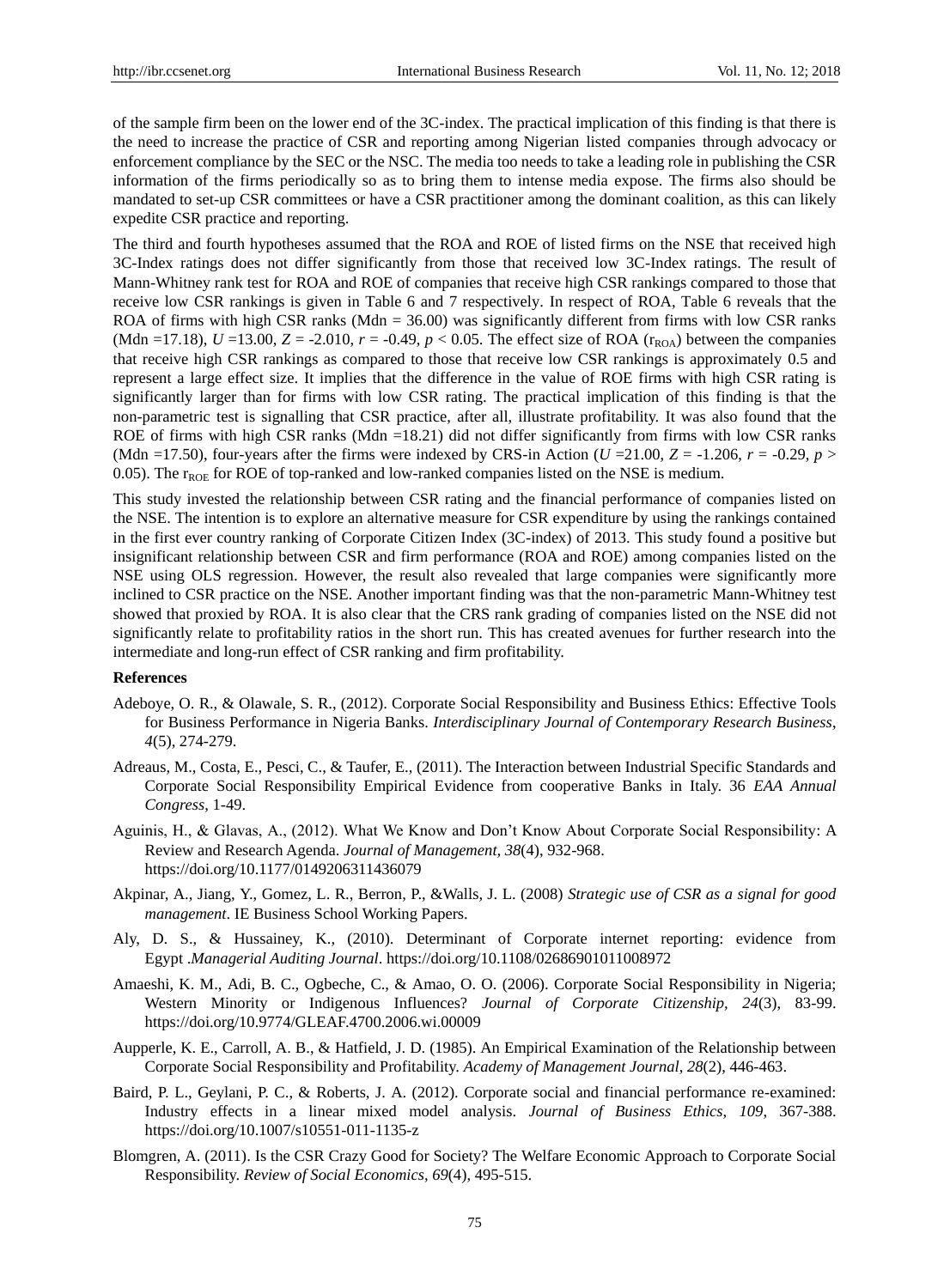of the sample firm been on the lower end of the 3C-index. The practical implication of this finding is that there is the need to increase the practice of CSR and reporting among Nigerian listed companies through advocacy or enforcement compliance by the SEC or the NSC. The media too needs to take a leading role in publishing the CSR information of the firms periodically so as to bring them to intense media expose. The firms also should be mandated to set-up CSR committees or have a CSR practitioner among the dominant coalition, as this can likely expedite CSR practice and reporting.

The third and fourth hypotheses assumed that the ROA and ROE of listed firms on the NSE that received high 3C-Index ratings does not differ significantly from those that received low 3C-Index ratings. The result of Mann-Whitney rank test for ROA and ROE of companies that receive high CSR rankings compared to those that receive low CSR rankings is given in Table 6 and 7 respectively. In respect of ROA, Table 6 reveals that the ROA of firms with high CSR ranks (Mdn = 36.00) was significantly different from firms with low CSR ranks (Mdn =17.18),  $U = 13.00$ ,  $Z = -2.010$ ,  $r = -0.49$ ,  $p < 0.05$ . The effect size of ROA (r<sub>ROA</sub>) between the companies that receive high CSR rankings as compared to those that receive low CSR rankings is approximately 0.5 and represent a large effect size. It implies that the difference in the value of ROE firms with high CSR rating is significantly larger than for firms with low CSR rating. The practical implication of this finding is that the non-parametric test is signalling that CSR practice, after all, illustrate profitability. It was also found that the ROE of firms with high CSR ranks (Mdn =18.21) did not differ significantly from firms with low CSR ranks (Mdn =17.50), four-years after the firms were indexed by CRS-in Action ( $U = 21.00$ ,  $Z = -1.206$ ,  $r = -0.29$ ,  $p >$ 0.05). The r<sub>ROE</sub> for ROE of top-ranked and low-ranked companies listed on the NSE is medium.

This study invested the relationship between CSR rating and the financial performance of companies listed on the NSE. The intention is to explore an alternative measure for CSR expenditure by using the rankings contained in the first ever country ranking of Corporate Citizen Index (3C-index) of 2013. This study found a positive but insignificant relationship between CSR and firm performance (ROA and ROE) among companies listed on the NSE using OLS regression. However, the result also revealed that large companies were significantly more inclined to CSR practice on the NSE. Another important finding was that the non-parametric Mann-Whitney test showed that proxied by ROA. It is also clear that the CRS rank grading of companies listed on the NSE did not significantly relate to profitability ratios in the short run. This has created avenues for further research into the intermediate and long-run effect of CSR ranking and firm profitability.

#### **References**

- Adeboye, O. R., & Olawale, S. R., (2012). Corporate Social Responsibility and Business Ethics: Effective Tools for Business Performance in Nigeria Banks. *Interdisciplinary Journal of Contemporary Research Business*, *4*(5), 274-279.
- Adreaus, M., Costa, E., Pesci, C., & Taufer, E., (2011). The Interaction between Industrial Specific Standards and Corporate Social Responsibility Empirical Evidence from cooperative Banks in Italy. 36 *EAA Annual Congress*, 1-49.
- Aguinis, H., & Glavas, A., (2012). What We Know and Don"t Know About Corporate Social Responsibility: A Review and Research Agenda. *Journal of Management, 38*(4), 932-968. https://doi.org/10.1177/0149206311436079
- Akpinar, A., Jiang, Y., Gomez, L. R., Berron, P., &Walls, J. L. (2008) *Strategic use of CSR as a signal for good management*. IE Business School Working Papers.
- Aly, D. S., & Hussainey, K., (2010). Determinant of Corporate internet reporting: evidence from Egypt .*Managerial Auditing Journal*. https://doi.org/10.1108/02686901011008972
- Amaeshi, K. M., Adi, B. C., Ogbeche, C., & Amao, O. O. (2006). Corporate Social Responsibility in Nigeria; Western Minority or Indigenous Influences? *Journal of Corporate Citizenship, 24*(3), 83-99. https://doi.org/10.9774/GLEAF.4700.2006.wi.00009
- Aupperle, K. E., Carroll, A. B., & Hatfield, J. D. (1985). An Empirical Examination of the Relationship between Corporate Social Responsibility and Profitability. *Academy of Management Journal*, *28*(2), 446-463.
- Baird, P. L., Geylani, P. C., & Roberts, J. A. (2012). Corporate social and financial performance re-examined: Industry effects in a linear mixed model analysis. *Journal of Business Ethics, 109*, 367-388. https://doi.org/10.1007/s10551-011-1135-z
- Blomgren, A. (2011). Is the CSR Crazy Good for Society? The Welfare Economic Approach to Corporate Social Responsibility. *Review of Social Economics*, *69*(4), 495-515.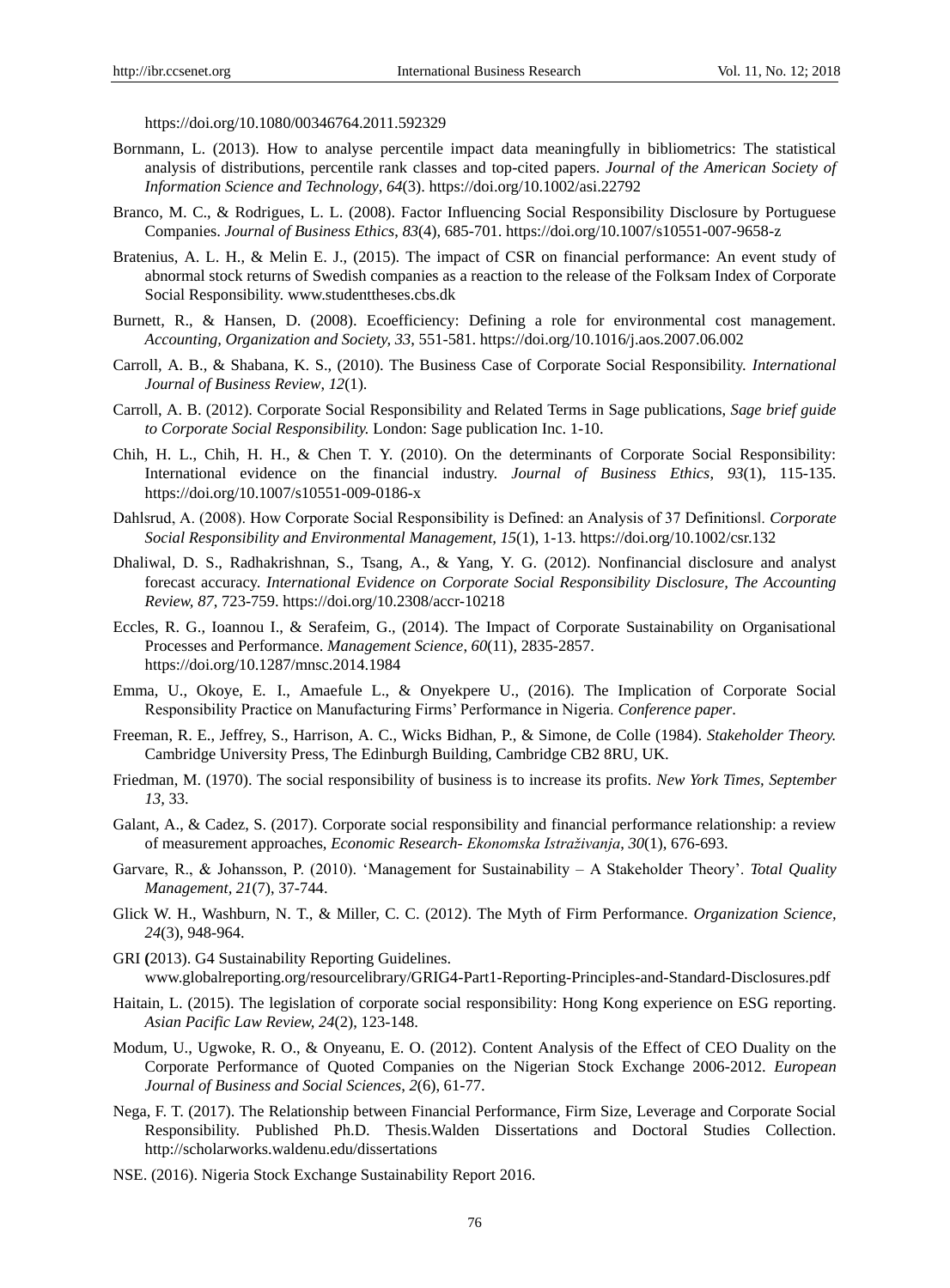https://doi.org/10.1080/00346764.2011.592329

- Bornmann, L. (2013). How to analyse percentile impact data meaningfully in bibliometrics: The statistical analysis of distributions, percentile rank classes and top-cited papers. *Journal of the American Society of Information Science and Technology*, *64*(3). https://doi.org/10.1002/asi.22792
- Branco, M. C., & Rodrigues, L. L. (2008). Factor Influencing Social Responsibility Disclosure by Portuguese Companies. *Journal of Business Ethics*, *83*(4), 685-701. https://doi.org/10.1007/s10551-007-9658-z
- Bratenius, A. L. H., & Melin E. J., (2015). The impact of CSR on financial performance: An event study of abnormal stock returns of Swedish companies as a reaction to the release of the Folksam Index of Corporate Social Responsibility. [www.studenttheses.cbs.dk](http://www.studenttheses.cbs.dk/)
- Burnett, R., & Hansen, D. (2008). Ecoefficiency: Defining a role for environmental cost management. *Accounting, Organization and Society, 33*, 551-581. https://doi.org/10.1016/j.aos.2007.06.002
- Carroll, A. B., & Shabana, K. S., (2010). The Business Case of Corporate Social Responsibility. *International Journal of Business Review*, *12*(1).
- Carroll, A. B. (2012). Corporate Social Responsibility and Related Terms in Sage publications, *Sage brief guide to Corporate Social Responsibility.* London: Sage publication Inc. 1-10.
- Chih, H. L., Chih, H. H., & Chen T. Y. (2010). On the determinants of Corporate Social Responsibility: International evidence on the financial industry. *Journal of Business Ethics*, *93*(1), 115-135. https://doi.org/10.1007/s10551-009-0186-x
- Dahlsrud, A. (2008). How Corporate Social Responsibility is Defined: an Analysis of 37 Definitions‖. *Corporate Social Responsibility and Environmental Management, 15*(1), 1-13. https://doi.org/10.1002/csr.132
- Dhaliwal, D. S., Radhakrishnan, S., Tsang, A., & Yang, Y. G. (2012). Nonfinancial disclosure and analyst forecast accuracy. *International Evidence on Corporate Social Responsibility Disclosure, The Accounting Review, 87*, 723-759. https://doi.org/10.2308/accr-10218
- Eccles, R. G., Ioannou I., & Serafeim, G., (2014). The Impact of Corporate Sustainability on Organisational Processes and Performance. *Management Science*, *60*(11), 2835-2857. https://doi.org/10.1287/mnsc.2014.1984
- Emma, U., Okoye, E. I., Amaefule L., & Onyekpere U., (2016). The Implication of Corporate Social Responsibility Practice on Manufacturing Firms" Performance in Nigeria. *Conference paper*.
- Freeman, R. E., Jeffrey, S., Harrison, A. C., Wicks Bidhan, P., & Simone, de Colle (1984). *Stakeholder Theory.*  Cambridge University Press, The Edinburgh Building, Cambridge CB2 8RU, UK.
- Friedman, M. (1970). The social responsibility of business is to increase its profits. *New York Times, September 13,* 33.
- Galant, A., & Cadez, S. (2017). Corporate social responsibility and financial performance relationship: a review of measurement approaches, *Economic Research- Ekonomska Istraživanja*, *30*(1), 676-693.
- Garvare, R., & Johansson, P. (2010). "Management for Sustainability A Stakeholder Theory". *Total Quality Management, 21*(7), 37-744.
- Glick W. H., Washburn, N. T., & Miller, C. C. (2012). The Myth of Firm Performance. *Organization Science, 24*(3), 948-964.
- GRI **(**2013). G4 Sustainability Reporting Guidelines. [www.globalreporting.](http://www.globalreporting/)org/resourcelibrary/GRIG4-Part1-Reporting-Principles-and-Standard-Disclosures.pdf
- Haitain, L. (2015). The legislation of corporate social responsibility: Hong Kong experience on ESG reporting. *Asian Pacific Law Review, 24*(2), 123-148.
- Modum, U., Ugwoke, R. O., & Onyeanu, E. O. (2012). Content Analysis of the Effect of CEO Duality on the Corporate Performance of Quoted Companies on the Nigerian Stock Exchange 2006-2012. *European Journal of Business and Social Sciences*, *2*(6), 61-77.
- Nega, F. T. (2017). The Relationship between Financial Performance, Firm Size, Leverage and Corporate Social Responsibility. Published Ph.D. Thesis.Walden Dissertations and Doctoral Studies Collection. <http://scholarworks.waldenu.edu/dissertations>
- NSE. (2016). Nigeria Stock Exchange Sustainability Report 2016.